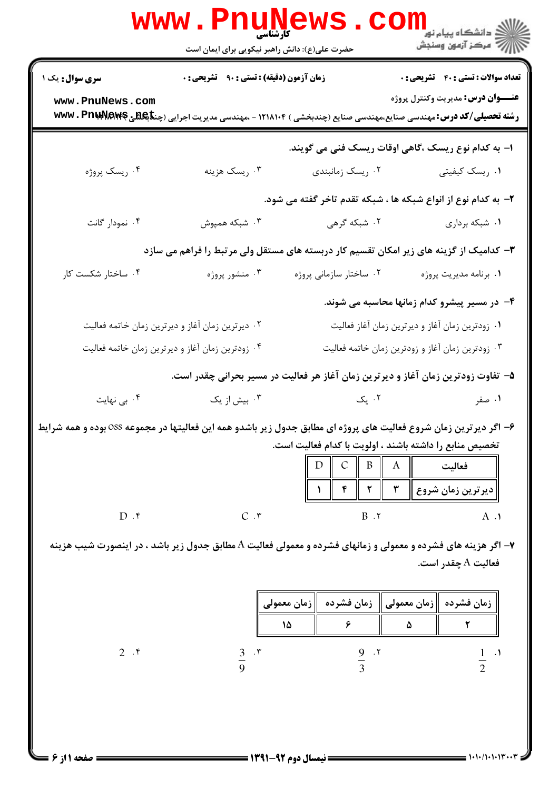|                                                                                                                                                                              | <b>www.PnuNews</b><br><b>کارشناسی</b>                                                                |                                                | ران دانشگاه پيام نور ■<br> //<br> //   مرکز آزمون وسنجش                                                                                                                       |
|------------------------------------------------------------------------------------------------------------------------------------------------------------------------------|------------------------------------------------------------------------------------------------------|------------------------------------------------|-------------------------------------------------------------------------------------------------------------------------------------------------------------------------------|
|                                                                                                                                                                              | حضرت علی(ع): دانش راهبر نیکویی برای ایمان است                                                        |                                                |                                                                                                                                                                               |
| <b>سری سوال :</b> یک ۱                                                                                                                                                       | زمان آزمون (دقیقه) : تستی : ۹۰٪ تشریحی : ۰                                                           |                                                | <b>تعداد سوالات : تستی : 40 - تشریحی : 0</b>                                                                                                                                  |
| www.PnuNews.com                                                                                                                                                              |                                                                                                      |                                                | <b>عنـــوان درس:</b> مديريت وكنترل پروژه<br><b>رشته تحصیلی/کد درس: م</b> هندسی صنایع،مهندسی صنایع (چندبخشی ) ۱۲۱۸۱۰۴ - ،مهندسی مدیریت اجرایی (چن <b>تاپکشی @wwv . PnuMawe</b> |
|                                                                                                                                                                              |                                                                                                      |                                                | ا– به کدام نوع ریسک ،گاهی اوقات ریسک فنی می گویند.                                                                                                                            |
| ۰۴ ريسک پروژه                                                                                                                                                                | ۰۳ ریسک هزینه                                                                                        | ۰۲ ریسک زمانبندی                               | ۰۱ ریسک کیفیتی                                                                                                                                                                |
|                                                                                                                                                                              |                                                                                                      |                                                | ۲- به کدام نوع از انواع شبکه ها ، شبکه تقدم تاخر گفته می شود.                                                                                                                 |
| ۰۴ نمودار گانت                                                                                                                                                               | ۰۳ شبکه همپوش                                                                                        | ۰۲ شبکه گرهی                                   | ۰۱ شبکه برداری                                                                                                                                                                |
| ۳– کدامیک از گزینه های زیر امکان تقسیم کار دربسته های مستقل ولی مرتبط را فراهم می سازد                                                                                       |                                                                                                      |                                                |                                                                                                                                                                               |
| ۰۴ ساختار شکست کار                                                                                                                                                           | ۰۳ منشور پروژه                                                                                       | ۰۲ ساختار سازمانی پروژه                        | ٠١. برنامه مديريت پروژه                                                                                                                                                       |
|                                                                                                                                                                              |                                                                                                      |                                                | ۴– در مسیر پیشرو کدام زمانها محاسبه می شوند.                                                                                                                                  |
|                                                                                                                                                                              | ۰۲ دیرترین زمان آغاز و دیرترین زمان خاتمه فعالیت<br>۰۱ زودترین زمان آغاز و دیرترین زمان آغاز فعالیت  |                                                |                                                                                                                                                                               |
|                                                                                                                                                                              | ۰۳ زودترین زمان آغاز و زودترین زمان خاتمه فعالیت<br>۰۴ زودترین زمان آغاز و دیرترین زمان خاتمه فعالیت |                                                |                                                                                                                                                                               |
| ۵– تفاوت زودترین زمان آغاز و دیرترین زمان آغاز هر فعالیت در مسیر بحرانی چقدر است.                                                                                            |                                                                                                      |                                                |                                                                                                                                                                               |
| ۰۴ بی نهایت                                                                                                                                                                  | ۰۳ بیش از یک                                                                                         | ۰۲ یک                                          | ۰۱ صفر                                                                                                                                                                        |
| ۶- اگر دیرترین زمان شروع فعالیت های پروژه ای مطابق جدول زیر باشدو همه این فعالیتها در مجموعه OSS بوده و همه شرایط<br>تخصیص منابع را داشته باشند ، اولویت با کدام فعالیت است. |                                                                                                      |                                                |                                                                                                                                                                               |
|                                                                                                                                                                              |                                                                                                      | $\mathcal{C}$<br>$\mathbf{B}$<br>D<br>$\bf{A}$ | فعاليت                                                                                                                                                                        |
|                                                                                                                                                                              |                                                                                                      | $\pmb{\mathsf{r}}$<br>$\pmb{\mathsf{Y}}$<br>۴  | ديرترين زمان شروع                                                                                                                                                             |
| $D.$ ۴                                                                                                                                                                       | C.7                                                                                                  | $B \cdot 7$                                    | $A \cdot Y$                                                                                                                                                                   |
| ۷- اگر هزینه های فشرده و معمولی و زمانهای فشرده و معمولی فعالیت A مطابق جدول زیر باشد ، در اینصورت شیب هزینه<br>فعاليت A چقدر است.                                           |                                                                                                      |                                                |                                                                                                                                                                               |
|                                                                                                                                                                              |                                                                                                      |                                                |                                                                                                                                                                               |
|                                                                                                                                                                              |                                                                                                      | زمان فشرده<br>  زمان معمولي                    | زمان معمولي   <br>زمان فشرده                                                                                                                                                  |
|                                                                                                                                                                              | 15                                                                                                   | ۶                                              | ٢<br>۵                                                                                                                                                                        |
| $2 \cdot$ ۴                                                                                                                                                                  | $\cdot$ $\mathsf{r}$<br>$rac{3}{9}$                                                                  | $\frac{9}{3}$<br>.7                            | $\frac{1}{2}$<br>$\cdot$                                                                                                                                                      |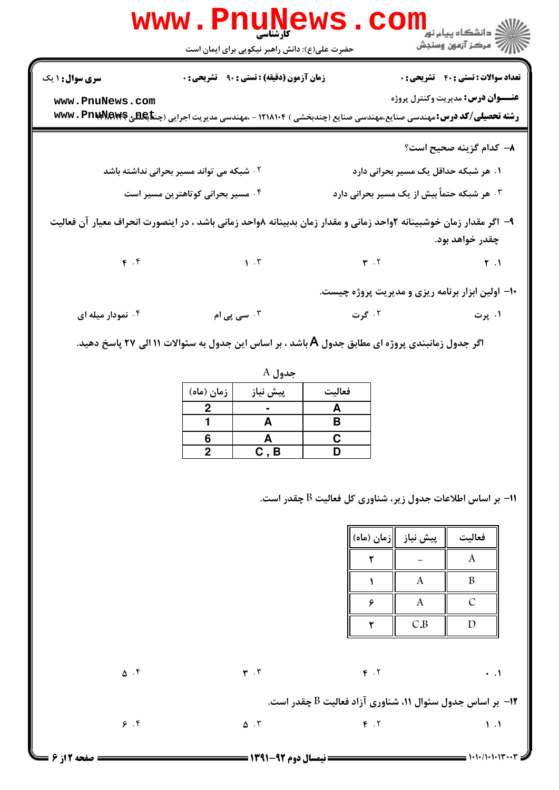|                                                                                                             | <b>www.PnuNews</b><br><b>کارشناسی</b>                                                                                            |                                                                                                      |                                                                 | دانشگاه پيام نور<br>ا∛ مرکز آزمون وسنجش            |
|-------------------------------------------------------------------------------------------------------------|----------------------------------------------------------------------------------------------------------------------------------|------------------------------------------------------------------------------------------------------|-----------------------------------------------------------------|----------------------------------------------------|
|                                                                                                             | حضرت علی(ع): دانش راهبر نیکویی برای ایمان است                                                                                    |                                                                                                      |                                                                 |                                                    |
| <b>سری سوال :</b> ۱ یک                                                                                      | <b>زمان آزمون (دقیقه) : تستی : ۹۰ تشریحی : 0</b>                                                                                 |                                                                                                      |                                                                 | <b>تعداد سوالات : تستي : 40 - تشريحي : 0</b>       |
| www.PnuNews.com                                                                                             | <b>رشته تحصیلی/کد درس:</b> مهندسی صنایع،مهندسی صنایع (چندبخشی ) ۱۲۱۸۱۰۴ - ،مهندسی مدیریت اجرایی (چن <b>تاپکلیلی @wwv . Pnuri</b> |                                                                                                      |                                                                 | <b>عنـــوان درس:</b> مديريت وكنترل پروژه           |
|                                                                                                             |                                                                                                                                  |                                                                                                      |                                                                 | ۸– کدام گزینه صحیح است؟                            |
| ۰۲ شبکه می تواند مسیر بحرانی نداشته باشد<br>۱. هر شبکه حداقل یک مسیر بحرانی دارد                            |                                                                                                                                  |                                                                                                      |                                                                 |                                                    |
| ۰۴ مسیر بحرانی کوتاهترین مسیر است                                                                           |                                                                                                                                  |                                                                                                      | ۰۳ هر شبکه حتماً بیش از یک مسیر بحرانی دارد                     |                                                    |
|                                                                                                             | ۹– اگر مقدار زمان خوشبینانه ۲واحد زمانی و مقدار زمان بدبینانه ۸واحد زمانی باشد ، در اینصورت انحراف معیار آن فعالیت               |                                                                                                      |                                                                 | چقدر خواهد بود.                                    |
|                                                                                                             | $\mathbf{F} \cdot \mathbf{F}$ $\mathbf{V} \cdot \mathbf{F}$                                                                      | $\mathbf{r}$ . T                                                                                     |                                                                 | $\uparrow$ .                                       |
|                                                                                                             |                                                                                                                                  |                                                                                                      |                                                                 | ۱۰– اولین ابزار برنامه ریزی و مدیریت پروژه چیست.   |
| ۰۴ نمودار میله ای                                                                                           | ۰۳ سی پی ام                                                                                                                      | ۱. پرت میں ایک کرت کا مقدم اور استعمال کر کر کر اور استعمال کر کر کر اور استعمال کر کر اور استعمال ک |                                                                 |                                                    |
| اگر جدول زمانبندی پروژه ای مطابق جدول Å باشد ، بر اساس این جدول به سئوالات ۱۱ الی ۲۷ پاسخ دهید.<br>$A$ جدول |                                                                                                                                  |                                                                                                      |                                                                 |                                                    |
|                                                                                                             | پیش نیاز<br>زمان (ماه)                                                                                                           | فعاليت                                                                                               |                                                                 |                                                    |
|                                                                                                             | $\frac{2}{1}$<br>$\frac{1}{\mathsf{A}}$                                                                                          | $\frac{\mathsf{A}}{\mathsf{B}}$                                                                      |                                                                 |                                                    |
|                                                                                                             | 6<br>A                                                                                                                           | $\overline{c}$                                                                                       |                                                                 |                                                    |
|                                                                                                             | $\overline{2}$<br>C, B                                                                                                           | D                                                                                                    |                                                                 |                                                    |
|                                                                                                             |                                                                                                                                  | ا– بر اساس اطلاعات جدول زیر، شناوری کل فعالیت $\mathrm{B}$ چقدر است.<br>٢<br>۶                       | پیش نیاز $\parallel$ زمان (ماه)<br>$\mathbf{A}$<br>$\mathbf{A}$ | فعاليت<br>$\bf{A}$<br>$\boldsymbol{B}$<br>$\cal C$ |
|                                                                                                             |                                                                                                                                  |                                                                                                      |                                                                 |                                                    |
|                                                                                                             |                                                                                                                                  | ۲                                                                                                    | C.B                                                             | $\mathbf D$                                        |
| $\Delta$ .                                                                                                  | $\mathbf{r}$ . $\mathbf{r}$                                                                                                      | $F \cdot Y$                                                                                          |                                                                 | $\ddots$                                           |
| ا–  بر اساس جدول سئوال ۱۱، شناوری آزاد فعالیت B چقدر است.                                                   |                                                                                                                                  |                                                                                                      |                                                                 |                                                    |
| 9.9                                                                                                         | $\Delta$ . ٣                                                                                                                     | $F \cdot Y$                                                                                          |                                                                 | $\mathcal{N}$ .                                    |
| صفحه 12; 6                                                                                                  | == نیمسال دوم 92-1391 =                                                                                                          |                                                                                                      |                                                                 | $=$ 1+1+/1+1+13 $+$                                |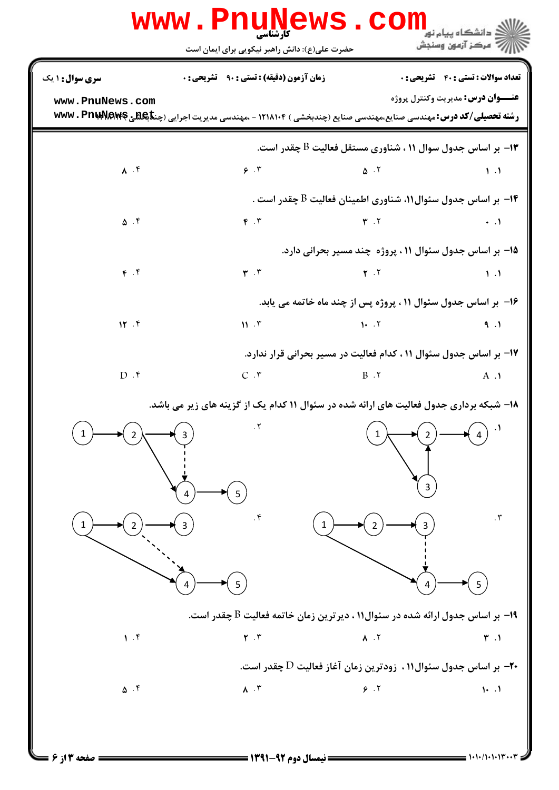|                     | حضرت علی(ع): دانش راهبر نیکویی برای ایمان است                                                                                     |                                                                                                   |                                            |
|---------------------|-----------------------------------------------------------------------------------------------------------------------------------|---------------------------------------------------------------------------------------------------|--------------------------------------------|
| سری سوال: ۱ یک      | <b>زمان آزمون (دقیقه) : تستی : ۹۰ قشریحی: 0</b>                                                                                   |                                                                                                   | <b>تعداد سوالات : تستی : 40 قشریحی : 0</b> |
| www.PnuNews.com     | <b>رشته تحصیلی/کد درس: م</b> هندسی صنایع،مهندسی صنایع (چندبخشی ) ۱۲۱۸۱۰۴ - ،مهندسی مدیریت اجرایی (چن <b>تاپکشی @wwv . PnuMawe</b> |                                                                                                   | <b>عنـــوان درس:</b> مديريت وكنترل پروژه   |
|                     |                                                                                                                                   | ا– بر اساس جدول سوال ۱۱ ، شناوری مستقل فعالیت $\mathrm{B}$ چقدر است. $\mathbf r$                  |                                            |
| $\lambda$ . $\zeta$ |                                                                                                                                   | $9.7$ and $0.7$ and $1.1$                                                                         |                                            |
|                     |                                                                                                                                   | ۰۴ بر اساس جدول سئوال۱۱، شناوری اطمینان فعالیت $\mathrm{B}$ چقدر است $\cdot$                      |                                            |
| $\Delta$ .۴         | $F \cdot Y$                                                                                                                       | $\mathbf{r}$ . T                                                                                  | $\rightarrow$ $\Lambda$                    |
|                     |                                                                                                                                   | ۱۵– بر اساس جدول سئوال ۱۱ ، پروژه چند مسیر بحرانی دارد.                                           |                                            |
| F. f                |                                                                                                                                   | $\mathbf{r} \cdot \mathbf{r}$ (1)                                                                 |                                            |
|                     |                                                                                                                                   | ۱۶- بر اساس جدول سئوال ۱۱ ، پروژه پس از چند ماه خاتمه می یابد.                                    |                                            |
| 15.5                |                                                                                                                                   | $11.7$ $1.7$                                                                                      | 9.1                                        |
|                     |                                                                                                                                   | ۱۷– بر اساس جدول سئوال ۱۱ ، کدام فعالیت در مسیر بحرانی قرار ندارد.                                |                                            |
| $D.$ f              |                                                                                                                                   | $C \cdot r$ B $\cdot$                                                                             | $A \cdot \mathbf{1}$                       |
|                     | ۱۸- شبکه برداری جدول فعالیت های ارائه شده در سئوال ۱۱ کدام یک از گزینه های زیر می باشد.                                           |                                                                                                   |                                            |
| 1<br>2              | $\bigcap_{\mathcal{A}}\bigcap_{\mathcal{A}}\mathcal{A}$                                                                           | 1                                                                                                 | $\cdot$                                    |
|                     |                                                                                                                                   |                                                                                                   |                                            |
|                     |                                                                                                                                   |                                                                                                   | 3                                          |
|                     | 5                                                                                                                                 |                                                                                                   |                                            |
|                     | . $\mathfrak k$                                                                                                                   |                                                                                                   | $\cdot$ $\mathsf{r}$                       |
|                     |                                                                                                                                   |                                                                                                   |                                            |
|                     | 5                                                                                                                                 |                                                                                                   | 5                                          |
|                     |                                                                                                                                   |                                                                                                   |                                            |
| 1.9                 | ۱۹- بر اساس جدول ارائه شده در سئوال۱۱ ، دیرترین زمان خاتمه فعالیت B چقدر است.<br>$\mathbf{Y}$ . $\mathbf{Y}$                      | $\Lambda$ . $\Upsilon$                                                                            | $\mathbf{r}$ .                             |
|                     |                                                                                                                                   |                                                                                                   |                                            |
| $\Delta$ . ۴        | $\Lambda$ . $\Upsilon$                                                                                                            | بر اساس جدول سئوال۱۱ ، زودترین زمان آغاز فعالیت $\mathrm{D}$ چقدر است. $\text{\textbf{+}}$<br>9.7 | $\cdot \cdot \cdot$                        |
|                     |                                                                                                                                   |                                                                                                   |                                            |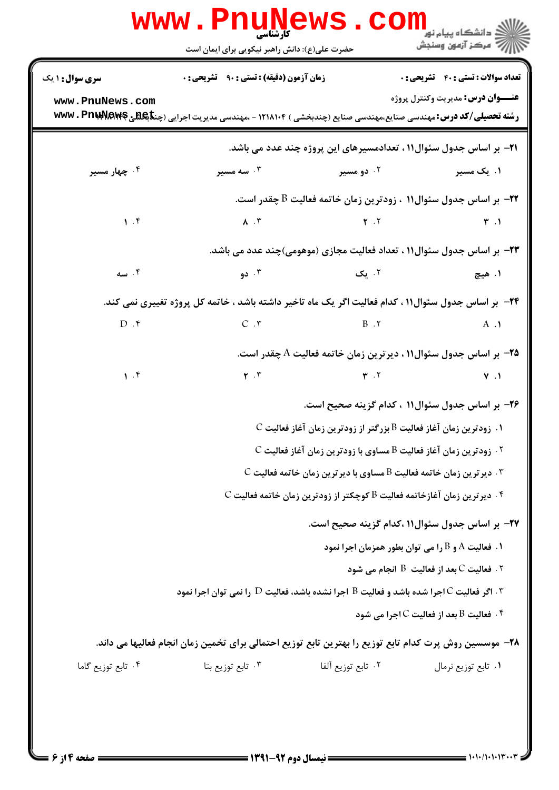|                        | www.Pnunews.com<br>حضرت علی(ع): دانش راهبر نیکویی برای ایمان است                                                                          |                    | <mark>گ</mark> دانشگاه پیام نو <mark>ر</mark><br>أإزام أأتهون وسنجش                                               |
|------------------------|-------------------------------------------------------------------------------------------------------------------------------------------|--------------------|-------------------------------------------------------------------------------------------------------------------|
| <b>سری سوال : ۱ یک</b> | <b>زمان آزمون (دقیقه) : تستی : ۹۰ قشریحی : 0</b>                                                                                          |                    | <b>تعداد سوالات : تستي : 40 ٪ تشریحي : 0</b>                                                                      |
| www.PnuNews.com        | <b>رشته تحصیلی/کد درس:</b> مهندسی صنایع،مهندسی صنایع (چندبخشی ) ۱۲۱۸۱۰۴ - ،مهندسی مدیریت اجرایی (چن <b>تاپکش</b> ی <b>WWW . PnuAVAWFS</b> |                    | <b>عنـــوان درس:</b> مديريت وكنترل پروژه                                                                          |
|                        |                                                                                                                                           |                    | <b>۲۱</b> - بر اساس جدول سئوال۱۱ ، تعدادمسیرهای این پروژه چند عدد می باشد.                                        |
| ۰۴ چهار مسیر           | ۰۳ سه مسیر                                                                                                                                | ۰۲ دو مسیر         | ۰۱ یک مسیر                                                                                                        |
|                        |                                                                                                                                           |                    | ۳۲- بر اساس جدول سئوال۱۱ ، زودترین زمان خاتمه فعالیت B چقدر است.                                                  |
| $\mathcal{N}$ .        | $\lambda$ . T                                                                                                                             |                    | $\mathbf{r}$ . T $\mathbf{r}$                                                                                     |
|                        |                                                                                                                                           |                    | ۲۳– بر اساس جدول سئوال۱۱ ، تعداد فعالیت مجازی (موهومی)چند عدد می باشد.                                            |
| ۰۴ سه                  | ۲. یک سال ۲۰۰۳ و دولت در است که می کنیم و می کنیم که در این کشور و تاکنون می کنیم که در این کشور که از این کشو                            |                    | ۱. هيچ                                                                                                            |
|                        | ۲۴- بر اساس جدول سئوال۱۱ ، کدام فعالیت اگر یک ماه تاخیر داشته باشد ، خاتمه کل پروژه تغییری نمی کند.                                       |                    |                                                                                                                   |
| $D.$ ۴                 |                                                                                                                                           |                    | $C \cdot Y$ B $\cdot Y$ A $\cdot Y$                                                                               |
|                        | ۲۵– بر اساس جدول سئوال۱۱ ، دیرترین زمان خاتمه فعالیت A چقدر است.                                                                          |                    |                                                                                                                   |
| 1.5                    | $\mathbf{Y}$ . $\mathbf{Y}$                                                                                                               |                    | $\gamma$ . T $\gamma$ . T                                                                                         |
|                        |                                                                                                                                           |                    | ۲۶- بر اساس جدول سئوال۱۱ ، کدام گزینه صحیح است.                                                                   |
|                        |                                                                                                                                           |                    | $\, {\mathbf C} \,$ ا. زودترین زمان آغاز فعالیت ${\mathrm B} \,$ بزرگتر از زودترین زمان آغاز فعالیت $\,$          |
|                        |                                                                                                                                           |                    |                                                                                                                   |
|                        |                                                                                                                                           |                    | $\,$ . دیرترین زمان خاتمه فعالیت $\rm B$ مساوی با دیرترین زمان خاتمه فعالیت $\,$ $\,$                             |
|                        |                                                                                                                                           |                    | $\,$ . ديرترين زمان آغازخاتمه فعاليت $\, {\bf B} \,$ كوچكتر از زودترين زمان خاتمه فعاليت $\, \cdot \, {\bf f} \,$ |
|                        |                                                                                                                                           |                    | ۲۷– بر اساس جدول سئوال۱۱ ،کدام گزینه صحیح است.                                                                    |
|                        |                                                                                                                                           |                    | ۰۱ فعالیت A و B را می توان بطور همزمان اجرا نمود                                                                  |
|                        |                                                                                                                                           |                    | ا فعالیت $\rm C$ بعد از فعالیت $\rm B$ انجام می شود $\rm V$                                                       |
|                        | اجرا نشده باشد و فعالیت $\, {\bf B} \,$ اجرا نشده باشد، فعالیت $\, {\bf D} \,$ را نمی توان اجرا نمود " $\, {\bf r} \,$                    |                    | د. فعالیت B بعد از فعالیت C اجرا می شود *                                                                         |
|                        | ۲۸– موسسین روش پرت کدام تابع توزیع را بهترین تابع توزیع احتمالی برای تخمین زمان انجام فعالیها می داند.                                    |                    |                                                                                                                   |
| ۰۴ تابع توزیع گاما     | ۰۳ تابع توزیع بتا                                                                                                                         | ٢. تابع توزيع آلفا | ۰۱ تابع توزیع نرمال                                                                                               |
|                        |                                                                                                                                           |                    |                                                                                                                   |

**: صفحه 4 از 6 =**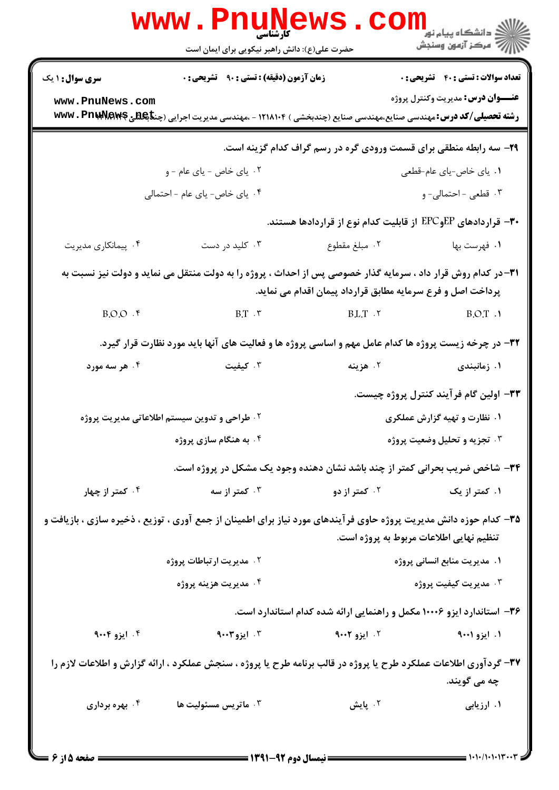|                                                                                                                                                                             | <b>www.PnuNews</b><br>حضرت علی(ع): دانش راهبر نیکویی برای ایمان است                                                                | COI                          | ر دانشگاه پيام نور <mark>− ا</mark><br>ار <i>آهر کر</i> آزمون وسنجش |  |
|-----------------------------------------------------------------------------------------------------------------------------------------------------------------------------|------------------------------------------------------------------------------------------------------------------------------------|------------------------------|---------------------------------------------------------------------|--|
| <b>سری سوال : ۱ یک</b>                                                                                                                                                      | <b>زمان آزمون (دقیقه) : تستی : ۹۰ تشریحی : .</b>                                                                                   |                              | <b>تعداد سوالات : تستی : 40 قشریحی : 0</b>                          |  |
| www.PnuNews.com                                                                                                                                                             |                                                                                                                                    |                              | <b>عنـــوان درس:</b> مديريت وكنترل پروژه                            |  |
|                                                                                                                                                                             | <b>رشته تحصیلی/کد درس:</b> مهندسی صنایع،مهندسی صنایع (چندبخشی ) ۱۲۱۸۱۰۴ - ،مهندسی مدیریت اجرایی (چن <b>تاپکلنلی @wwv . PnuAVaw</b> |                              |                                                                     |  |
|                                                                                                                                                                             |                                                                                                                                    |                              | ۲۹- سه رابطه منطقی برای قسمت ورودی گره در رسم گراف کدام گزینه است.  |  |
| ۰۲ یای خاص - یای عام - و                                                                                                                                                    |                                                                                                                                    |                              | ۰۱ ياي خاص-ياي عام-قطعي                                             |  |
| ۰۴ یای خاص- یای عام - احتمالی                                                                                                                                               |                                                                                                                                    |                              | ۰۳ قطعی - احتمالی- و                                                |  |
|                                                                                                                                                                             |                                                                                                                                    |                              | ۳۰– قراردادهای EPCوEP از قابلیت کدام نوع از قراردادها هستند.        |  |
| ۰۴ پیمانکاری مدیریت                                                                                                                                                         | ۰۳ کلید در دست                                                                                                                     | ۰۲ مبلغ مقطوع                | ۰۱ فهرست بها                                                        |  |
| ۳۱–در کدام روش قرار داد ، سرمایه گذار خصوصی پس از احداث ، پروژه را به دولت منتقل می نماید و دولت نیز نسبت به<br>پرداخت اصل و فرع سرمایه مطابق قرارداد پیمان اقدام می نماید. |                                                                                                                                    |                              |                                                                     |  |
| B.O.O.                                                                                                                                                                      | $B.T . r$ B.O.T.                                                                                                                   |                              |                                                                     |  |
|                                                                                                                                                                             | ۳۲- در چرخه زیست پروژه ها کدام عامل مهم و اساسی پروژه ها و فعالیت های آنها باید مورد نظارت قرار گیرد.                              |                              |                                                                     |  |
| ۰۴ هر سه مورد                                                                                                                                                               | ۰۳ کیفیت                                                                                                                           | ۰۲ هزینه                     | ۰۱ زمانبندی                                                         |  |
|                                                                                                                                                                             |                                                                                                                                    |                              | ۳۳- اولین گام فرآیند کنترل پروژه چیست.                              |  |
|                                                                                                                                                                             | <b>۲ . طراحی و تدوین سیستم اطلاعاتی مدیریت پروژه</b><br>۰۱ نظارت و تهیه گزارش عملکری                                               |                              |                                                                     |  |
|                                                                                                                                                                             | ۰۴ به هنگام سازی پروژه                                                                                                             | ۰۳ تجزیه و تحلیل وضعیت پروژه |                                                                     |  |
|                                                                                                                                                                             | ۳۴- شاخص ضریب بحرانی کمتر از چند باشد نشان دهنده وجود یک مشکل در پروژه است.                                                        |                              |                                                                     |  |
| ۰۴ کمتر از چهار                                                                                                                                                             | ۰۳ کمتر از سه                                                                                                                      | ۰۲ کمتر از دو                | ۰۱ کمتر از یک                                                       |  |
|                                                                                                                                                                             | ۳۵– کدام حوزه دانش مدیریت پروژه حاوی فرآیندهای مورد نیاز برای اطمینان از جمع آوری ، توزیع ، ذخیره سازی ، بازیافت و                 |                              | تنظیم نهایی اطلاعات مربوط به پروژه است.                             |  |
| ۰۲ مدیریت ارتباطات پروژه                                                                                                                                                    |                                                                                                                                    | ۰۱ مدیریت منابع انسانی پروژه |                                                                     |  |
|                                                                                                                                                                             | ۰۴ مديريت هزينه پروژه                                                                                                              |                              | ۰۳ مدیریت کیفیت پروژه                                               |  |
| ۳۶- استاندارد ایزو ۱۰۰۰۶ مکمل و راهنمایی ارائه شده کدام استاندارد است.                                                                                                      |                                                                                                                                    |                              |                                                                     |  |
| ۰۴ ایزو ۹۰۰۴                                                                                                                                                                | $1.1$ ایزو $1.7$                                                                                                                   | ۰۲ ایزو ۹۰۰۲                 | ۱. ایزو ۹۰۰۱                                                        |  |
| 30- گردآوری اطلاعات عملکرد طرح یا پروژه در قالب برنامه طرح یا پروژه ، سنجش عملکرد ، ارائه گزارش و اطلاعات لازم را<br>چه مي گويند.                                           |                                                                                                                                    |                              |                                                                     |  |
| ۰۴ بهره برداری                                                                                                                                                              | ۰۳ ماتریس مسئولیت ها                                                                                                               | ۰۲ پایش                      | ۰۱ ارزیابی                                                          |  |
| $=$ 9 :18 asia $=$ $=$ $=$ $\,$                                                                                                                                             |                                                                                                                                    |                              |                                                                     |  |